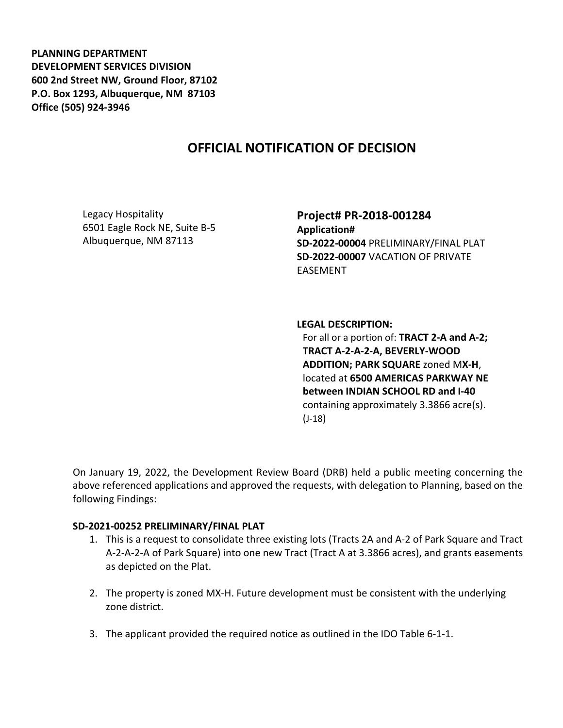**PLANNING DEPARTMENT DEVELOPMENT SERVICES DIVISION 600 2nd Street NW, Ground Floor, 87102 P.O. Box 1293, Albuquerque, NM 87103 Office (505) 924-3946** 

## **OFFICIAL NOTIFICATION OF DECISION**

Legacy Hospitality 6501 Eagle Rock NE, Suite B-5 Albuquerque, NM 87113

**Project# PR-2018-001284 Application# SD-2022-00004** PRELIMINARY/FINAL PLAT **SD-2022-00007** VACATION OF PRIVATE EASEMENT

**LEGAL DESCRIPTION:**

For all or a portion of: **TRACT 2-A and A-2; TRACT A-2-A-2-A, BEVERLY-WOOD ADDITION; PARK SQUARE** zoned M**X-H**, located at **6500 AMERICAS PARKWAY NE between INDIAN SCHOOL RD and I-40**  containing approximately 3.3866 acre(s). (J-18)

On January 19, 2022, the Development Review Board (DRB) held a public meeting concerning the above referenced applications and approved the requests, with delegation to Planning, based on the following Findings:

## **SD-2021-00252 PRELIMINARY/FINAL PLAT**

- 1. This is a request to consolidate three existing lots (Tracts 2A and A-2 of Park Square and Tract A-2-A-2-A of Park Square) into one new Tract (Tract A at 3.3866 acres), and grants easements as depicted on the Plat.
- 2. The property is zoned MX-H. Future development must be consistent with the underlying zone district.
- 3. The applicant provided the required notice as outlined in the IDO Table 6-1-1.